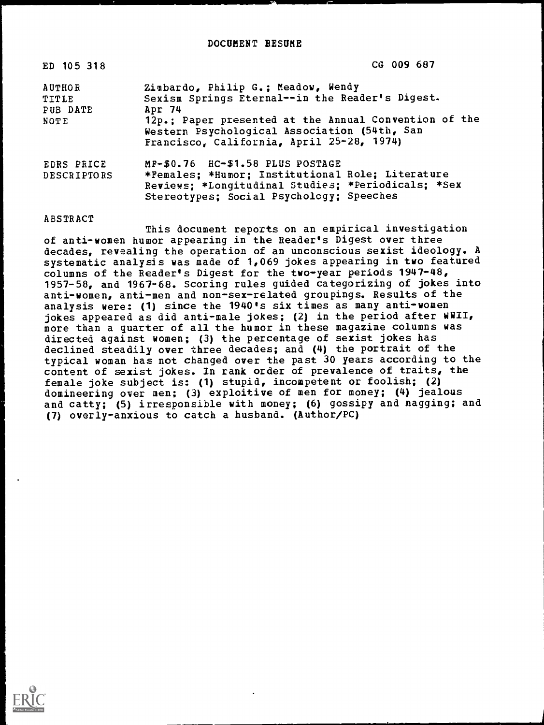| ED 105 318                         | CG 009 687                                                                                                                                                                                   |
|------------------------------------|----------------------------------------------------------------------------------------------------------------------------------------------------------------------------------------------|
| <b>AUTHOR</b><br>TITLE<br>PUB DATE | Zimbardo, Philip G.; Meadow, Wendy<br>Sexism Springs Eternal--in the Reader's Digest.<br>Apr 74                                                                                              |
| NOTE                               | 12p.; Paper presented at the Annual Convention of the<br>Western Psychological Association (54th, San<br>Francisco, California, April 25-28, 1974)                                           |
| EDRS PRICE<br><b>DESCRIPTORS</b>   | $MP-$0.76$ $H$ C $-$1.58$ PLUS POSTAGE<br>*Females; *Humor; Institutional Role; Literature<br>Reviews; *Longitudinal Studies; *Periodicals; *Sex<br>Stereotypes; Social Psychology; Speeches |

## ABSTRACT

This document reports on an empirical investigation of anti-women humor appearing in the Reader's Digest over three decades, revealing the operation of an unconscious sexist ideology. A systematic analysis was made of 1,069 jokes appearing in two featured columns of the Reader's Digest for the two-year periods 1947-48, 1957-58, and 1967-68. Scoring rules guided categorizing of jokes into anti-women, anti-men and non-sex-related groupings. Results of the analysis were: (1) since the 1940's six times as many anti-women jokes appeared as did anti-male jokes; (2) in the period after WWII, more than a quarter of all the humor in these magazine columns was directed against women; (3) the percentage of sexist jokes has declined steadily over three decades; and (4) the portrait of the typical woman has not changed over the past 30 years according to the content of sexist jokes. In rank order of prevalence of traits, the female joke subject is: (1) stupid, incompetent or foolish; (2) domineering over men; (3) exploitive of men for money; (4) jealous and catty; (5) irresponsible with money; (6) gossipy and nagging; and (7) overly-anxious to catch a husband. (Author/PC)

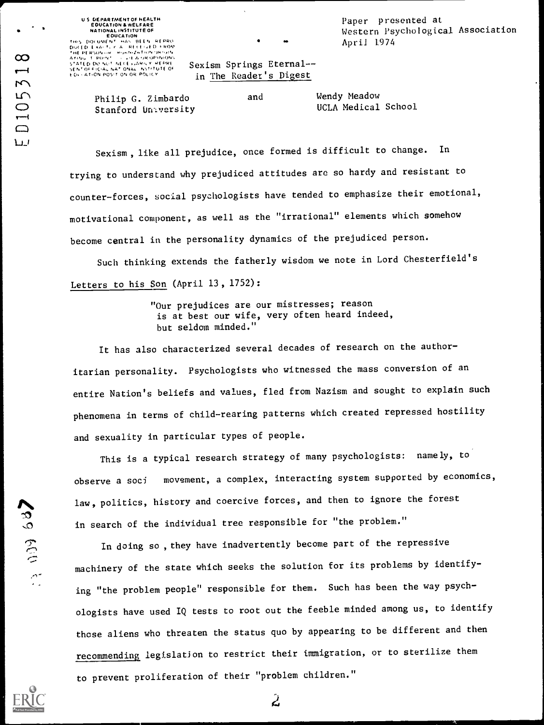Paper presented at Western Psychological Association April 1974

## INEPERSON OF PURIDITION ORIGIN<br>ATON 3 POINT - LEAD OR OPINION<br>SEATOD DO NCT AECESSARILY REPRESSED SEXISM SPRINGS Eternal-in The Reader's Digest

Philip G. Zimbardo Stanford University

EDUCATION DE CONTRONATION<br>00(ED EXA) UN PRESENTO PROM<br>00(ED EXA) UT A RECENTO PROM

U S DEPARTMENT OF HEALTH EDUCATION &WELFARE NATIONAL INSTITUTE OF

and Wendy Meadow<br>UCLA Medical School

Sexism, like all prejudice, once formed is difficult to change. In trying to understand why prejudiced attitudes are so hardy and resistant to counter-forces, social psychologists have tended to emphasize their emotional, motivational component, as well as the "irrational" elements which somehow become central in the personality dynamics of the prejudiced person.

Such thinking extends the fatherly wisdom we note in Lord Chesterfield's Letters to his Son (April 13, 1752):

> "Our prejudices are our mistresses; reason is at best our wife, very often heard indeed, but seldom minded."

It has also characterized several decades of research on the authoritarian personality. Psychologists who witnessed the mass conversion of an entire Nation's beliefs and values, fled from Nazism and sought to explain such phenomena in terms of child-rearing patterns which created repressed hostility and sexuality in particular types of people.

This is a typical research strategy of many psychologists: namely, to observe a soci movement, a complex, interacting system supported by economics, law, politics, history and coercive forces, and then to ignore the forest in search of the individual tree responsible for "the problem."

raw, portices, also the contribute tores, and then to find the rote.<br>
The search of the individual tree responsible for "the problem."<br>
In doing so, they have inadvertently become part of the repressive<br>
machinery of the s machinery of the state which seeks the solution for its problems by identifying "the problem people" responsible for them. Such has been the way psychologists have used IQ tests to root out the feeble minded among us, to identify these aliens who threaten the status quo by appearing to be different and then recommending legislation to restrict their immigration, or to sterilize them to prevent proliferation of their "problem children."

 $\hat{\bm{\mathcal{L}}}$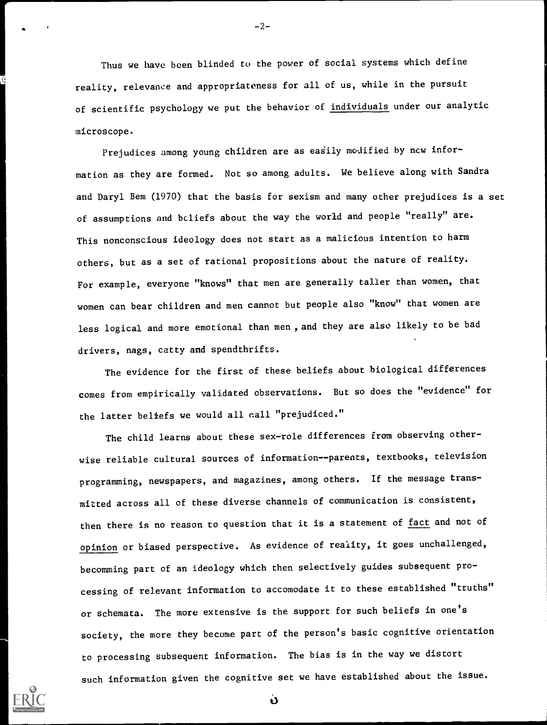Thus we have been blinded to the power of social systems which define reality, relevance and appropriateness for all of us, while in the pursuit of scientific psychology we put the behavior of individuals under our analytic microscope.

Prejudices among young children are as easily modified by new information as they are formed. Not so among adults. We believe along with Sandra and Daryl Bem (1970) that the basis for sexism and many other prejudices is a set of assumptions and beliefs about the way the world and people "really" are. This nonconscious ideology does not start as a malicious intention to harm others, but as a set of rational propositions about the nature of reality. For example, everyone "knows" that men are generally taller than women, that women can bear children and men cannot but people also "know" that women are less logical and more emotional than men , and they are also likely to be bad drivers, nags, catty and spendthrifts.

The evidence for the first of these beliefs about biological differences comes from empirically validated observations. But so does the "evidence" for the latter beliefs we would all call "prejudiced."

The child learns about these sex-role differences from observing otherwise reliable cultural sources of information--parents, textbooks, television programming, newspapers, and magazines, among others. If the message transmitted across all of these diverse channels of communication is consistent, then there is no reason to question that it is a statement of fact and not of opinion or biased perspective. As evidence of reality, it goes unchallenged, becomming part of an ideology which then selectively guides subsequent processing of relevant information to accomodate it to these established "truths" or schemata. The more extensive is the support for such beliefs in one's society, the more they become part of the person's basic cognitive orientation to processing subsequent information. The bias is in the way we distort such information given the cognitive set we have established about the issue.



 $-2-$ 

 $\dot{\mathbf{v}}$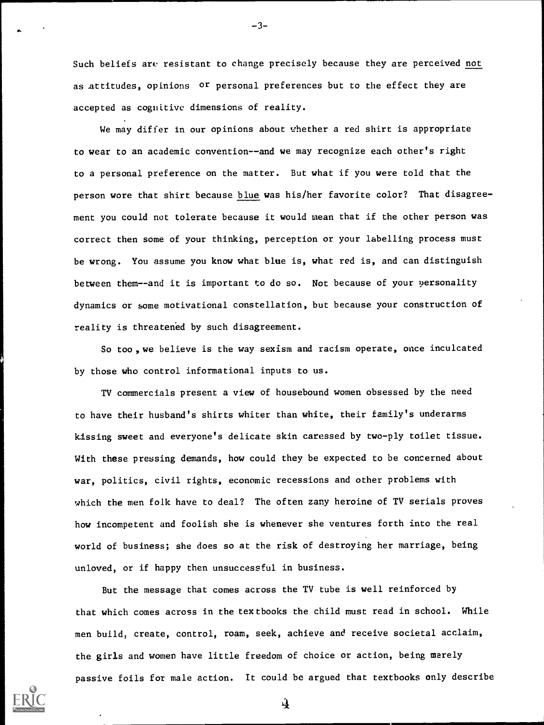Such beliefs are resistant to change precisely because they are perceived not as attitudes, opinions or personal preferences but to the effect they are accepted as cognitive dimensions of reality.

-3-

We may differ in our opinions about whether a red shirt is appropriate to wear to an academic convention--and we may recognize each other's right to a personal preference on the matter. But what if you were told that the person wore that shirt because blue was his/her favorite color? That disagreement you could not tolerate because it would mean that if the other person was correct then some of your thinking, perception or your labelling process must be wrong. You assume you know what blue is, what red is, and can distinguish between them--and it is important to do so. Not because of your personality dynamics or some motivational constellation, but because your construction of reality is threatened by such disagreement.

So too, we believe is the way sexism and racism operate, once inculcated by those who control informational inputs to us.

TV commercials present a view of housebound women obsessed by the need to have their husband's shirts whiter than white, their family's underarms kissing sweet and everyone's delicate skin caressed by two-ply toilet tissue. With these pressing demands, how could they be expected to be concerned about war, politics, civil rights, economic recessions and other problems with which the men folk have to deal? The often zany heroine of TV serials proves how incompetent and foolish she is whenever she ventures forth into the real world of business; she does so at the risk of destroying her marriage, being unloved, or if happy then unsuccessful in business.

But the message that comes across the TV tube is well reinforced by that which comes across in the textbooks the child must read in school. While men build, create, control, roam, seek, achieve and receive societal acclaim, the girls and women have little freedom of choice or action, being merely passive foils for male action. It could be argued that textbooks only describe



 $\mathbf{A}$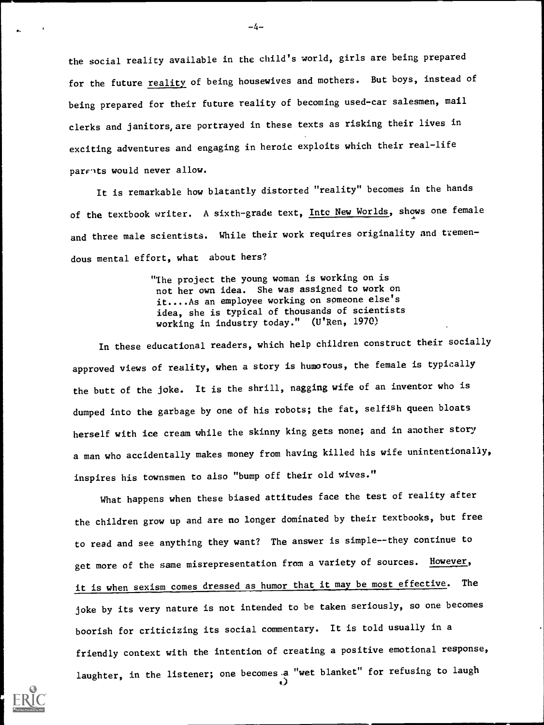the social reality available in the child's world, girls are being prepared for the future reality of being housewives and mothers. But boys, instead of being prepared for their future reality of becoming used-car salesmen, mail clerks and janitors, are portrayed in these texts as risking their lives in exciting adventures and engaging in heroic exploits which their real-life parrits would never allow.

It is remarkable how blatantly distorted "reality" becomes in the hands of the textbook writer. A sixth-grade text, <u>Intc New Worlds</u>, shows one female and three male scientists. While their work requires originality and tremendous mental effort, what about hers?

> "The project the young woman is working on is not her own idea. She was assigned to work on it....As an employee working on someone else's idea, she is typical of thousands of scientists working in industry today." (U'Ren, 1970)

In these educational readers, which help children construct their socially approved views of reality, when a story is humorous, the female is typically the butt of the joke. It is the shrill, nagging wife of an inventor who is dumped into the garbage by one of his robots; the fat, selfish queen bloats herself with ice cream while the skinny king gets none; and in another story a man who accidentally makes money from having killed his wife unintentionally, inspires his townsmen to also "bump off their old wives."

What happens when these biased attitudes face the test of reality after the children grow up and are no longer dominated by their textbooks, but free to read and see anything they want? The answer is simple--they continue to get more of the same misrepresentation from a variety of sources. However, it is when sexism comes dressed as humor that it may be most effective. The joke by its very nature is not intended to be taken seriously, so one becomes boorish for criticizing its social commentary. It is told usually in a friendly context with the intention of creating a positive emotional response, laughter, in the listener; one becomes.a "wet blanket" for refusing to laugh  $\dot{\mathbf{o}}$ 



 $-4-$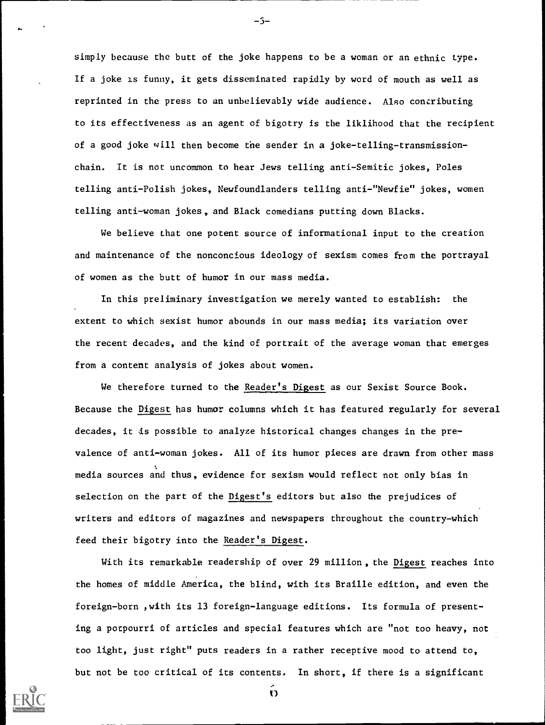simply because the butt of the joke happens to be a woman or an ethnic type. If a joke is funny, it gets disseminated rapidly by word of mouth as well as reprinted in the press to an unbelievably wide audience. Also contributing to its effectiveness as an agent of bigotry is the liklihood that the recipient of a good joke will then become the sender in a joke-telling-transmissionchain. It is not uncommon to hear Jews telling anti-Semitic jokes, Poles telling anti-Polish jokes, Newfoundlanders telling anti-"Newfie" jokes, women telling anti-woman jokes, and Black comedians putting down Blacks.

We believe that one potent source of informational input to the creation and maintenance of the nonconcious ideology of sexism comes from the portrayal of women as the butt of humor in our mass media.

In this preliminary investigation we merely wanted to establish: the extent to which sexist humor abounds in our mass media; its variation over the recent decades, and the kind of portrait of the average woman that emerges from a content analysis of jokes about women.

We therefore turned to the Reader's Digest as our Sexist Source Book. Because the Digest has humor columns which it has featured regularly for several decades, it is possible to analyze historical changes changes in the prevalence of anti-woman jokes. All of its humor pieces are drawn from other mass media sources and thus, evidence for sexism would reflect not only bias in selection on the part of the Digest's editors but also the prejudices of writers and editors of magazines and newspapers throughout the country-which feed their bigotry into the Reader's Digest.

With its remarkable readership of over 29 million, the Digest reaches into the homes of middle America, the blind, with its Braille edition, and even the foreign-born ,with its 13 foreign-language editions. Its formula of presenting a potpourri of articles and special features which are "not too heavy, not too light, just right" puts readers in a rather receptive mood to attend to, but not be too critical of its contents. In short, if there is a significant

 $\ddot{\mathbf{O}}$ 



-5-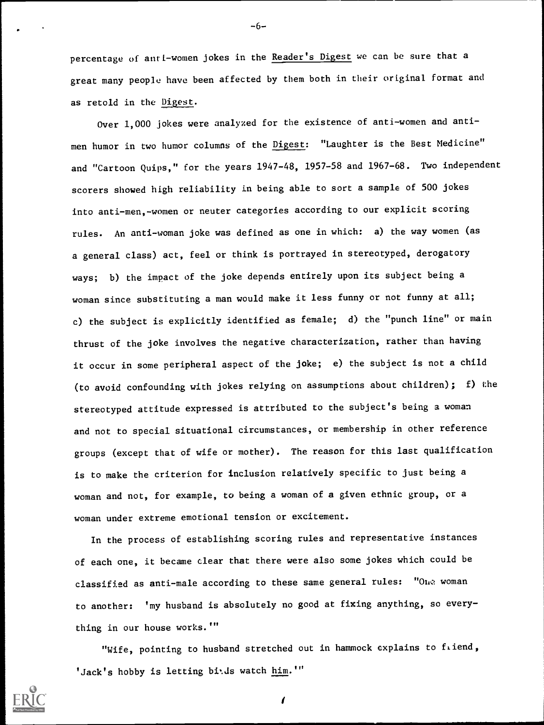percentage of anti-women jokes in the Reader's Digest we can be sure that a great many people have been affected by them both in their original format and as retold in the Digest.

Over 1,000 jokes were analyzed for the existence of anti-women and antimen humor in two humor columns of the Digest: "Laughter is the Best Medicine" and "Cartoon Quips," for the years 1947-48, 1957-58 and 1967-68. Two independent scorers showed high reliability in being able to sort a sample of 500 jokes into anti-men,-women or neuter categories according to our explicit scoring rules. An anti-woman joke was defined as one in which: a) the way women (as a general class) act, feel or think is portrayed in stereotyped, derogatory ways; b) the impact of the joke depends entirely upon its subject being a woman since substituting a man would make it less funny or not funny at all; c) the subject is explicitly identified as female; d) the "punch line" or main thrust of the joke involves the negative characterization, rather than having it occur in some peripheral aspect of the joke; e) the subject is not a child (to avoid confounding with jokes relying on assumptions about children); f) the stereotyped attitude expressed is attributed to the subject's being a woman and not to special situational circumstances, or membership in other reference groups (except that of wife or mother). The reason for this last qualification is to make the criterion for inclusion relatively specific to just being a woman and not, for example, to being a woman of a given ethnic group, or a woman under extreme emotional tension or excitement.

In the process of establishing scoring rules and representative instances of each one, it became clear that there were also some jokes which could be classified as anti-male according to these same general rules: "One woman to another: 'my husband is absolutely no good at fixing anything, so everything in our house works.'"

"Wife, pointing to husband stretched out in hammock explains to fiend, 'Jack's hobby is letting bids watch him.'"

 $\sqrt{ }$ 



-6--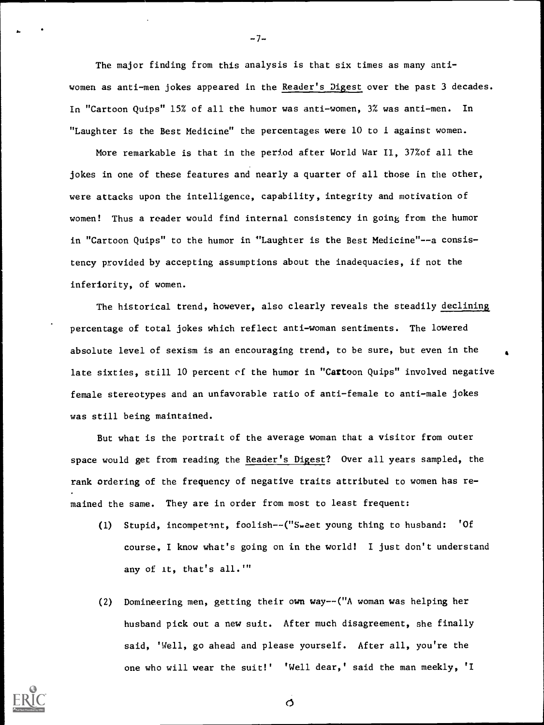The major finding from this analysis is that six times as many antiwomen as anti-men jokes appeared in the Reader's Digest over the past 3 decades. In "Cartoon Quips" 15% of all the humor was anti-women, 3% was anti-men. In "Laughter is the Best Medicine" the percentages were 10 to I against women.

 $-7-$ 

More remarkable is that in the period after World War II, 37%of all the ... jokes in one of these features and nearly a quarter of all those in the other, were attacks upon the intelligence, capability, integrity and motivation of women! Thus a reader would find internal consistency in going from the humor in "Cartoon Quips" to the humor in "Laughter is the Best Medicine"--a consistency provided by accepting assumptions about the inadequacies, if not the inferiority, of women.

The historical trend, however, also clearly reveals the steadily declining percentage of total jokes which reflect anti-woman sentiments. The lowered absolute level of sexism is an encouraging trend, to be sure, but even in the late sixties, still 10 percent of the humor in "Cartoon Quips" involved negative female stereotypes and an unfavorable ratio of anti-female to anti-male jokes was still being maintained.

But what is the portrait of the average woman that a visitor from outer space would get from reading the Reader's Digest? Over all years sampled, the rank ordering of the frequency of negative traits attributed to women has remained the same. They are in order from most to least frequent:

- (1) Stupid, incompetent, foolish--("Sweet young thing to husband: 'Of course, I know what's going on in the world! I just don't understand any of it, that's all.""
- (2) Domineering men, getting their own way--("A woman was helping her husband pick out a new suit. After much disagreement, she finally said, 'Well, go ahead and please yourself. After all, you're the one who will wear the suit!' 'Well dear,' said the man meekly, 'I



 $\sigma$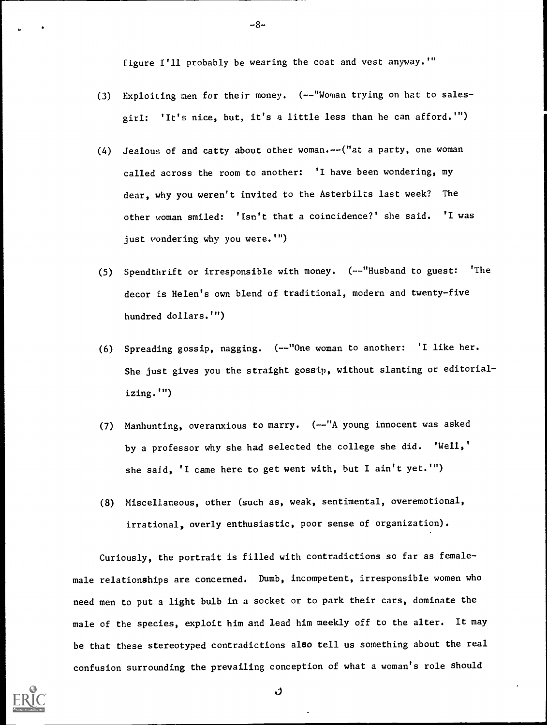figure I'll probably be wearing the coat and vest anyway.'"

-8-

- (3) Exploiting men for their money. (--"Woman trying on hat to salesgirl: 'It's nice, but, it's a little less than he can afford.")
- (4) Jealous of and catty about other woman.--("at a party, one woman called across the room to another: 'I have been wondering, my dear, why you weren't invited to the Asterbilts last week? The other woman smiled: 'Isn't that a coincidence?' she said. 'I was just vondering why you were.<sup>'"</sup>)
- (5) Spendthrift or irresponsible with money. (--"Husband to guest: 'The decor is Helen's own blend of traditional, modern and twenty-five hundred dollars."")
- (6) Spreading gossip, nagging. (--"One woman to another: 'I like her. She just gives you the straight gossip, without slanting or editorializing.")
- (7) Manhunting, overanxious to marry. (--"A young innocent was asked by a professor why she had selected the college she did. 'Well,' she said, 'I came here to get went with, but I ain't yet.'")
- (8) Miscellaneous, other (such as, weak, sentimental, overemotional, irrational, overly enthusiastic, poor sense of organization).

Curiously, the portrait is filled with contradictions so far as femalemale relationships are concerned. Dumb, incompetent, irresponsible women who need men to put a light bulb in a socket or to park their cars, dominate the male of the species, exploit him and lead him meekly off to the alter. It may be that these stereotyped contradictions also tell us something about the real confusion surrounding the prevailing conception of what a woman's role should

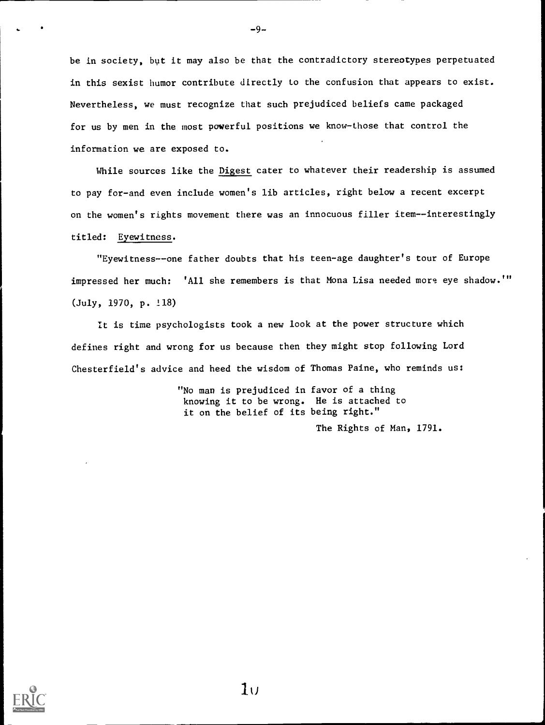be in society, but it may also be that the contradictory stereotypes perpetuated in this sexist humor contribute directly to the confusion that appears to exist. Nevertheless, we must recognize that such prejudiced beliefs came packaged for us by men in the most powerful positions we know-those that control the information we are exposed to.

While sources like the Digest cater to whatever their readership is assumed to pay for-and even include women's lib articles, right below a recent excerpt on the women's rights movement there was an innocuous filler item--interestingly titled: Eyewitness.

"Eyewitness--one father doubts that his teen-age daughter's tour of Europe impressed her much: 'All she remembers is that Mona Lisa needed more eye shadow."' (July, 1970, p. !18)

It is time psychologists took a new look at the power structure which defines right and wrong for us because then they might stop following Lord Chesterfield's advice and heed the wisdom of Thomas Paine, who reminds us:

> "No man is prejudiced in favor of a thing knowing it to be wrong. He is attached to it on the belief of its being right."

> > The Rights of Man, 1791.



 $1<sub>U</sub>$ 

 $-9-$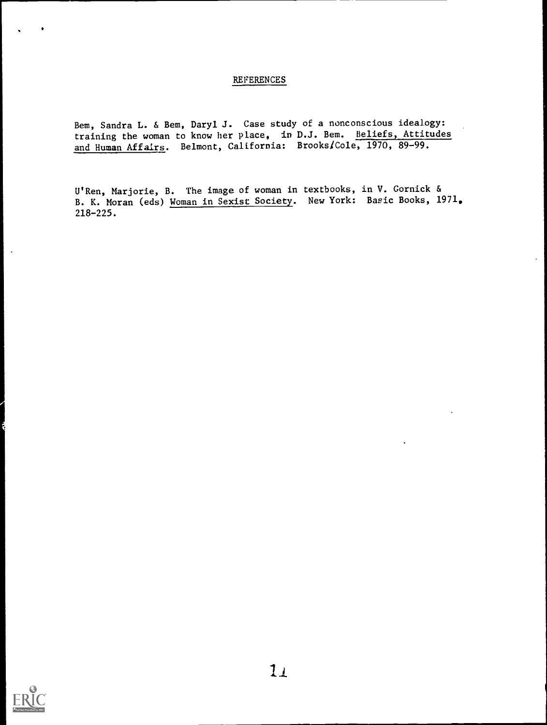## REFERENCES

Bem, Sandra L. & Bem, Daryl J. Case study of a nonconscious idealogy: training the woman to know her place, in D.J. Bem. Beliefs, Attitudes and Human Affairs. Belmont, California: BrookslCole, 1970, 89-99.

U'Ren, Marjorie, B. The image of woman in textbooks, in V. Gornick & B. K. Moran (eds) Woman in Sexist Society. New York: Basic Books, 1971. 218-225.